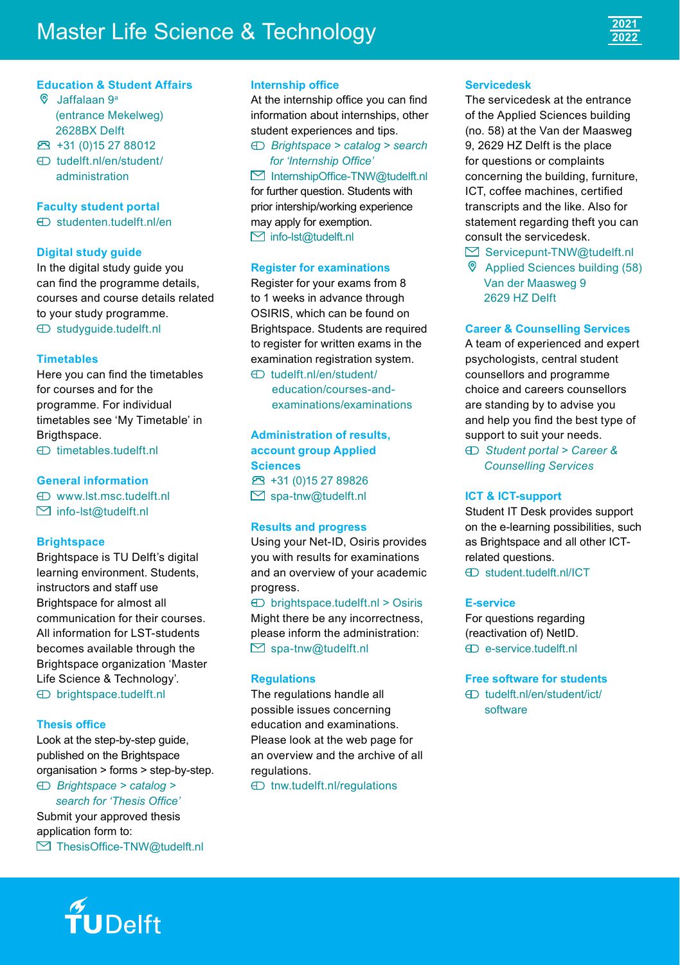# **Master Life Science & Technology**



## **Education & Student Affairs**

- Jaffalaan 9a (entrance Mekelweg) 2628BX Delft
- +31 (0)15 27 88012
- [tudelft.nl/en/student/](http://tudelft.nl/en/student/administration) [administration](http://tudelft.nl/en/student/administration)

## **Faculty student portal**

[studenten.tudelft.nl/en](http://studenten.tudelft.nl/en/)

#### **Digital study guide**

In the digital study guide you can find the programme details. courses and course details related to your study programme. [studyguide.tudelft.nl](http://studyguide.tudelft.nl)

#### **Timetables**

Here you can find the timetables for courses and for the programme. For individual timetables see 'My Timetable' in Brigthspace.

[timetables.tudelft.nl](http://timetables.tudelft.nl)

### **General information**

 [www.lst.msc.tudelft.nl](http://www.lst.msc.tudelft.nl)  $\triangleright$  [info-lst@tudelft.nl](mailto:info-lst@tudelft.nl)

# **Brightspace**

Brightspace is TU Delft's digital learning environment. Students, instructors and staff use Brightspace for almost all communication for their courses. All information for LST-students becomes available through the Brightspace organization 'Master Life Science & Technology'. [brightspace.tudelft.nl](http://brightspace.tudelft.nl)

#### **Thesis office**

Look at the step-by-step guide, published on the Brightspace organisation > forms > step-by-step.

 *Brightspace > catalog > Search for 'Thesis Office'* Submit your approved thesis application form to:  $\boxtimes$  ThesisOffice-TNW@tudelft.nl

#### **Internship office**

At the internship office you can find information about internships, other student experiences and tips. *Brightspace > catalog > search* 

## *<i><u>Internship</u>* Office<sup>1</sup>

 $M$ InternshinOffice-TNW@tudelft nl for further question. Students with prior intership/working experience may apply for exemption.  $\Box$  [info-lst@tudelft.nl](mailto:info-lst@tudelft.nl)

#### **Register for examinations**

Register for your exams from 8 to 1 weeks in advance through OSIRIS, which can be found on Brightspace. Students are required to register for written exams in the examination registration system. [tudelft.nl/en/student/](https://www.tudelft.nl/en/student/education/courses-and-examinations/examinations/registration-for-examinations)

[education/courses-and](https://www.tudelft.nl/en/student/education/courses-and-examinations/examinations/registration-for-examinations)[examinations/examinations](https://www.tudelft.nl/en/student/education/courses-and-examinations/examinations/registration-for-examinations)

**Administration of results, account group Applied Sciences** +31 (0)15 27 89826  $\boxdot$  [spa-tnw@tudelft.nl](mailto:spa-tnw@tudelft.nl)

#### **Results and progress**

Using your Net-ID, Osiris provides you with results for examinations and an overview of your academic progress.

#### $\bigoplus$  [brightspace.tudelft.nl](http://brightspace.tudelft.nl%20) > Osiris

Might there be any incorrectness, please inform the administration:  $\boxdot$  [spa-tnw@tudelft.nl](mailto:spa-tnw@tudelft.nl)

#### **Regulations**

The regulations handle all possible issues concerning education and examinations. Please look at the web page for an overview and the archive of all regulations.

[tnw.tudelft.nl/regulations](http://tnw.tudelft.nl/regulations)

#### **Servicedesk**

The servicedesk at the entrance of the Applied Sciences building (no. 58) at the Van der Maasweg 9, 2629 HZ Delft is the place for questions or complaints concerning the building, furniture, ICT, coffee machines, certified transcripts and the like. Also for statement regarding theft you can consult the servicedesk.

- $\boxtimes$  Servicepunt-TNW@tudelft.nl
- Applied Sciences building (58) Van der Maasweg 9 2629 HZ Delft

### **Career & Counselling Services**

A team of experienced and expert psychologists, central student counsellors and programme choice and careers counsellors are standing by to advise you and help you find the best type of support to suit your needs.

 *[Student portal](https://www.tudelft.nl/en/student/) > Career & Counselling Services*

#### **ICT & ICT-support**

Student IT Desk provides support on the e-learning possibilities, such as Brightspace and all other ICTrelated questions. [student.tudelft.nl/ICT](http://student.tudelft.nl/ICT)

#### **E-service**

For questions regarding (reactivation of) NetID. [e-service.tudelft.nl](http://e-service.tudelft.nl)

**Free software for students**

 [tudelft.nl/en/student/ict/](http://tudelft.nl/en/student/ict/software) [software](http://tudelft.nl/en/student/ict/software)

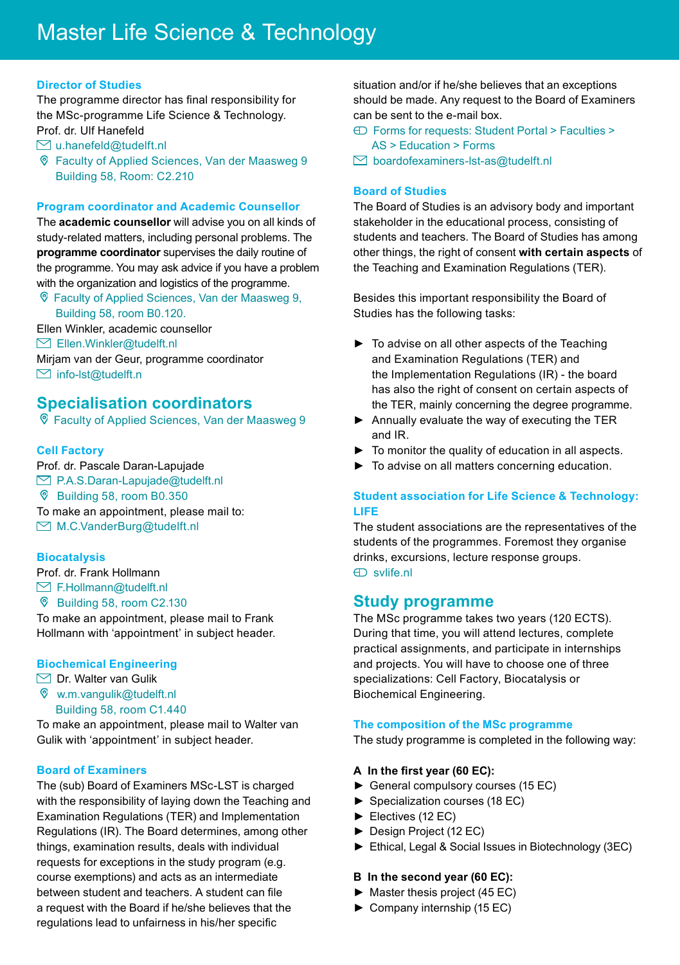#### **Director of Studies**

The programme director has final responsibility for the MSc-programme Life Science & Technology. Prof. dr. Ulf Hanefeld

- $\boxdot$  [u.hanefeld@tudelft.nl](mailto:u.hanefeld@tudelft.nl)
- Faculty of Applied Sciences, Van der Maasweg 9 Building 58, Room: C2.210

#### **Program coordinator and Academic Counsellor**

The **academic counsellor** will advise you on all kinds of study-related matters, including personal problems. The **programme coordinator** supervises the daily routine of the programme. You may ask advice if you have a problem with the organization and logistics of the programme.

 Faculty of Applied Sciences, Van der Maasweg 9, Building 58, room B0.120.

Ellen Winkler, academic counsellor  $\boxtimes$  Ellen. Winkler@tudelft.nl

Mirjam van der Geur, programme coordinator  $\boxdot$  info-lst@tudelft.n

## **Specialisation coordinators**

Faculty of Applied Sciences, Van der Maasweg 9

#### **Cell Factory**

Prof. dr. Pascale Daran-Lapujade ■ P.A.S.Daran-Lapujade@tudelft.nl Building 58, room B0.350 To make an appointment, please mail to: ■ [M.C.VanderBurg@tudelft.nl](mailto:M.C.VanderBurg@tudelft.nl%20)

#### **Biocatalysis**

Prof. dr. Frank Hollmann  $\boxtimes$  F.Hollmann@tudelft.nl

Building 58, room C2.130

To make an appointment, please mail to Frank Hollmann with 'appointment' in subject header.

#### **Biochemical Engineering**

 $\Box$  Dr. Walter van Gulik

 [w.m.vangulik@tudelft.nl](mailto:w.m.vangulik@tudelft.nl) Building 58, room C1.440

To make an appointment, please mail to Walter van Gulik with 'appointment' in subject header.

#### **Board of Examiners**

The (sub) Board of Examiners MSc-LST is charged with the responsibility of laying down the Teaching and Examination Regulations (TER) and Implementation Regulations (IR). The Board determines, among other things, examination results, deals with individual requests for exceptions in the study program (e.g. course exemptions) and acts as an intermediate between student and teachers. A student can file a request with the Board if he/she believes that the regulations lead to unfairness in his/her specific

situation and/or if he/she believes that an exceptions should be made. Any request to the Board of Examiners can be sent to the e-mail box.

- Forms for requests: [Student Portal](https://www.tudelft.nl/en/student/) > Faculties > AS > Education > Forms
- $\boxtimes$  [boardofexaminers-lst-as@tudelft.nl](mailto:boardofexaminers-lst-as@tudelft.nl)

## **Board of Studies**

The Board of Studies is an advisory body and important stakeholder in the educational process, consisting of students and teachers. The Board of Studies has among other things, the right of consent **with certain aspects** of the Teaching and Examination Regulations (TER).

Besides this important responsibility the Board of Studies has the following tasks:

- $\blacktriangleright$  To advise on all other aspects of the Teaching and Examination Regulations (TER) and the Implementation Regulations (IR) - the board has also the right of consent on certain aspects of the TER, mainly concerning the degree programme.
- $\blacktriangleright$  Annually evaluate the way of executing the TER and IR.
- $\blacktriangleright$  To monitor the quality of education in all aspects.
- $\triangleright$  To advise on all matters concerning education.

#### **Student association for Life Science & Technology: LIFE**

The student associations are the representatives of the students of the programmes. Foremost they organise drinks, excursions, lecture response groups. [svlife.nl](http://svlife.nl)

## **Study programme**

The MSc programme takes two years (120 ECTS). During that time, you will attend lectures, complete practical assignments, and participate in internships and projects. You will have to choose one of three specializations: Cell Factory, Biocatalysis or Biochemical Engineering.

#### **The composition of the MSc programme**

The study programme is completed in the following way:

#### A In the first vear (60 EC):

- $\blacktriangleright$  General compulsory courses (15 EC)
- $\blacktriangleright$  Specialization courses (18 EC)
- $\blacktriangleright$  Electives (12 EC)
- Design Project (12 EC)
- $\blacktriangleright$  Ethical, Legal & Social Issues in Biotechnology (3EC)

#### **B** In the second year (60 EC):

- $\blacktriangleright$  Master thesis project (45 EC)
- $\triangleright$  Company internship (15 EC)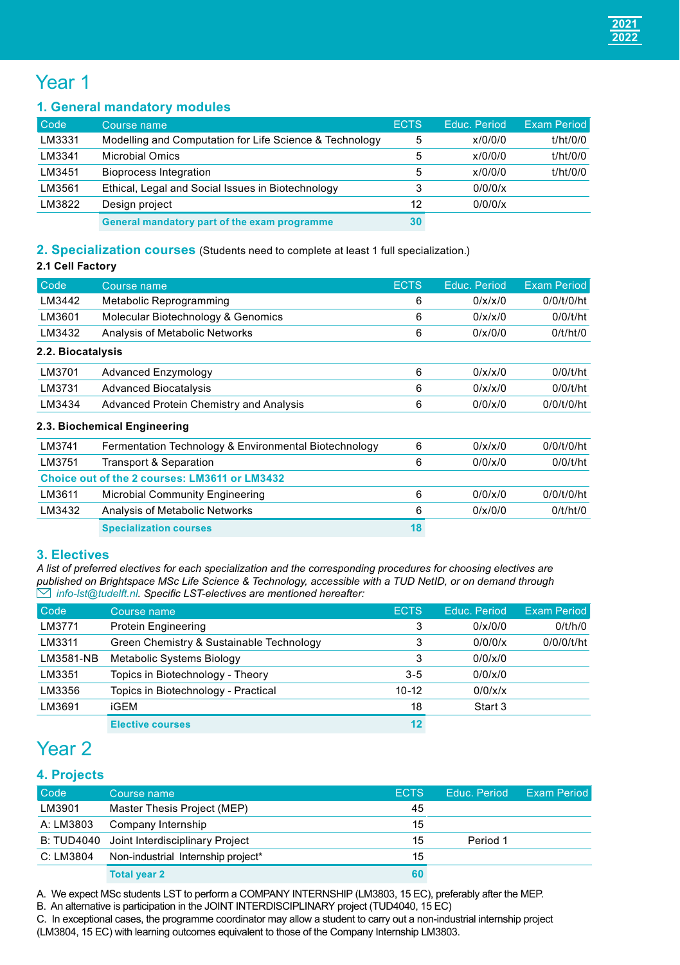## Year 1

## **1. General mandatory modules**

| Code   | Course name                                             | <b>ECTS</b> | Educ, Period | <b>Exam Period</b> |
|--------|---------------------------------------------------------|-------------|--------------|--------------------|
| LM3331 | Modelling and Computation for Life Science & Technology | 5           | x/0/0/0      | t/ht/0/0           |
| LM3341 | <b>Microbial Omics</b>                                  | 5           | x/0/0/0      | t/ht/0/0           |
| LM3451 | <b>Bioprocess Integration</b>                           | 5           | x/0/0/0      | t/ht/0/0           |
| LM3561 | Ethical, Legal and Social Issues in Biotechnology       | 3           | 0/0/0/x      |                    |
| LM3822 | Design project                                          | 12          | 0/0/0/x      |                    |
|        | General mandatory part of the exam programme            | 30          |              |                    |

## **2. Specialization courses** (Students need to complete at least 1 full specialization.)

## **2.1 Cell Factory**

| Code              | Course name                                           | <b>ECTS</b> | Educ. Period | <b>Exam Period</b> |
|-------------------|-------------------------------------------------------|-------------|--------------|--------------------|
| LM3442            | Metabolic Reprogramming                               | 6           | 0/x/x/0      | 0/0/t/0/ht         |
| LM3601            | Molecular Biotechnology & Genomics                    | 6           | 0/x/x/0      | 0/0/t/ht           |
| LM3432            | Analysis of Metabolic Networks                        | 6           | 0/x/0/0      | 0/t/ht/0           |
| 2.2. Biocatalysis |                                                       |             |              |                    |
| LM3701            | Advanced Enzymology                                   | 6           | 0/x/x/0      | 0/0/t/ht           |
| LM3731            | <b>Advanced Biocatalysis</b>                          | 6           | 0/x/x/0      | 0/0/t/ht           |
| LM3434            | Advanced Protein Chemistry and Analysis               | 6           | 0/0/x/0      | 0/0/t/0/ht         |
|                   | 2.3. Biochemical Engineering                          |             |              |                    |
| LM3741            | Fermentation Technology & Environmental Biotechnology | 6           | 0/x/x/0      | 0/0/t/0/ht         |
| LM3751            | Transport & Separation                                | 6           | 0/0/x/0      | 0/0/t/ht           |
|                   | Choice out of the 2 courses: LM3611 or LM3432         |             |              |                    |
| LM3611            | Microbial Community Engineering                       | 6           | 0/0/x/0      | 0/0/t/0/ht         |
| LM3432            | Analysis of Metabolic Networks                        | 6           | 0/x/0/0      | 0/t/ht/0           |
|                   | <b>Specialization courses</b>                         | 18          |              |                    |

### **3. Electives**

*A list of preferred electives for each specialization and the corresponding procedures for choosing electives are*  published on Brightspace MSc Life Science & Technology, accessible with a TUD NetID, or on demand through<br>∑ [info-lst@tudelft.nl](mailto:info-lst@tudelft.nl). Specific LST-electives are mentioned hereafter:

| Code      | Course name                              | <b>ECTS</b> | Educ, Period | Exam Period |
|-----------|------------------------------------------|-------------|--------------|-------------|
| LM3771    | <b>Protein Engineering</b>               | 3           | 0/x/0/0      | 0/t/h/0     |
| LM3311    | Green Chemistry & Sustainable Technology | 3           | 0/0/0/x      | 0/0/0/t/ht  |
| LM3581-NB | Metabolic Systems Biology                | 3           | 0/0/x/0      |             |
| LM3351    | Topics in Biotechnology - Theory         | $3 - 5$     | 0/0/x/0      |             |
| LM3356    | Topics in Biotechnology - Practical      | $10 - 12$   | 0/0/x/x      |             |
| LM3691    | iGEM                                     | 18          | Start 3      |             |
|           | <b>Elective courses</b>                  | 12          |              |             |

## Year 2

## **4. Projects**

| Code      | Course name                                | ECTS. | Educ, Period | <b>Exam Period</b> |
|-----------|--------------------------------------------|-------|--------------|--------------------|
| LM3901    | Master Thesis Project (MEP)                | 45    |              |                    |
| A: LM3803 | Company Internship                         | 15    |              |                    |
|           | B: TUD4040 Joint Interdisciplinary Project | 15    | Period 1     |                    |
| C: LM3804 | Non-industrial Internship project*         | 15    |              |                    |
|           | <b>Total year 2</b>                        | 60    |              |                    |

A. We expect MSc students LST to perform a COMPANY INTERNSHIP (LM3803, 15 EC), preferably after the MEP.

B. An alternative is participation in the JOINT INTERDISCIPLINARY project (TUD4040, 15 EC)

C. In exceptional cases, the programme coordinator may allow a student to carry out a non-industrial internship project

(LM3804, 15 EC) with learning outcomes equivalent to those of the Company Internship LM3803.